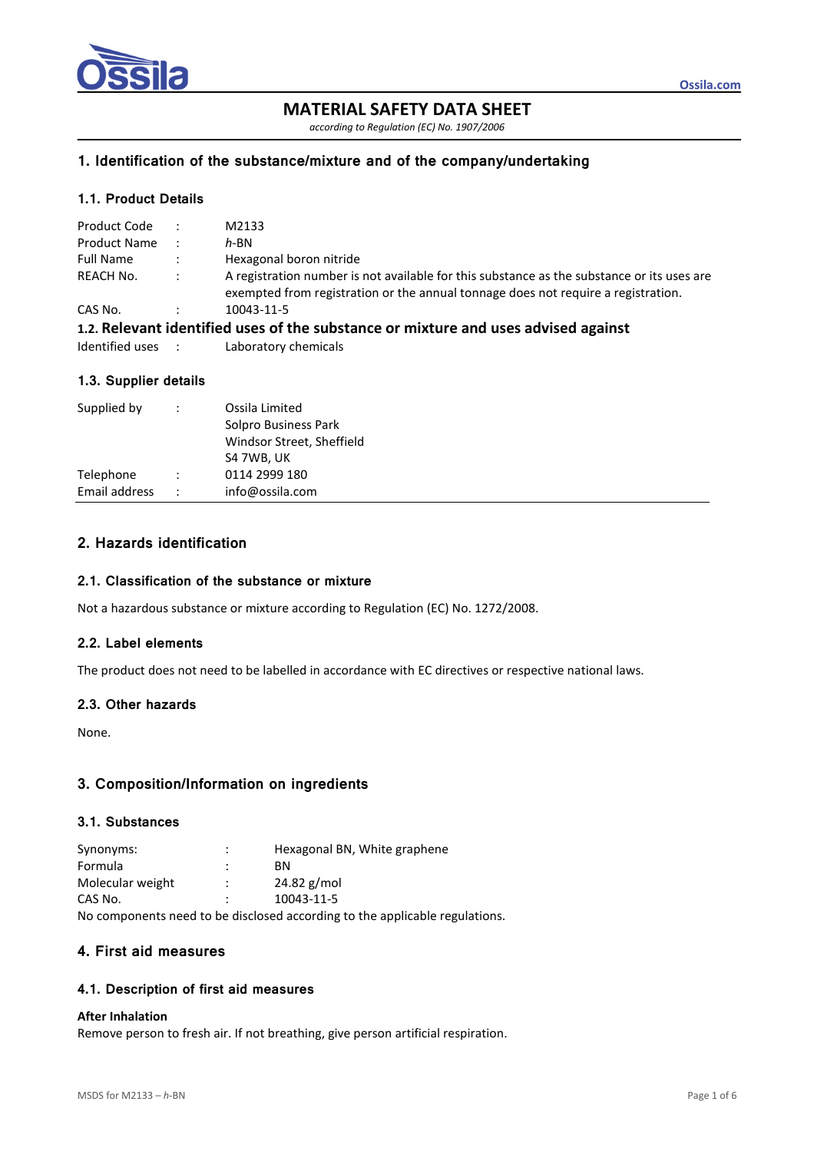

# **MATERIAL SAFETY DATA SHEET**

*accordino to Reoulation (EC) No. 1907/2006* 

### **1. Identification of the substance/mixture and of the company/undertaking**

### **1.1. Product Details**

| Product Code      | $\sim$ 100 $\pm$     | M2133                                                                                                                                                                           |
|-------------------|----------------------|---------------------------------------------------------------------------------------------------------------------------------------------------------------------------------|
| Product Name      | $\cdot$ :            | $h$ -BN                                                                                                                                                                         |
| <b>Full Name</b>  | $\ddot{\phantom{1}}$ | Hexagonal boron nitride                                                                                                                                                         |
| REACH No.         | $\mathbb{R}^2$       | A registration number is not available for this substance as the substance or its uses are<br>exempted from registration or the annual tonnage does not require a registration. |
| CAS No.           |                      | 10043-11-5                                                                                                                                                                      |
|                   |                      | 1.2. Relevant identified uses of the substance or mixture and uses advised against                                                                                              |
| Identified uses : |                      | Laboratory chemicals                                                                                                                                                            |

# **1.3. Supplier details**

| Supplied by   | $\ddot{\phantom{0}}$ | Ossila Limited<br>Solpro Business Park<br>Windsor Street, Sheffield<br>S4 7WB, UK |
|---------------|----------------------|-----------------------------------------------------------------------------------|
| Telephone     | $\ddot{\phantom{0}}$ | 0114 2999 180                                                                     |
| Email address | $\ddot{\phantom{0}}$ | info@ossila.com                                                                   |

# **2. Hazards identification**

#### **2.1. Classification of the substance or mixture**

Not a hazardous substance or mixture according to Regulation (EC) No. 1272/2008.

### **2.2. Label elements**

The product does not need to be labelled in accordance with EC directives or respective national laws.

#### **2.3. Other hazards**

None.

### **3. Composition/Information on ingredients**

### **3.1. Substances**

| Synonyms:        | Hexagonal BN, White graphene                                             |  |
|------------------|--------------------------------------------------------------------------|--|
| Formula          | ВN                                                                       |  |
| Molecular weight | 24.82 g/mol                                                              |  |
| CAS No.          | 10043-11-5                                                               |  |
|                  | No components need to be disclosed assemblant to the applicable required |  |

No components need to be disclosed according to the applicable regulations.

### **4. First aid measures**

#### **4.1. Description of first aid measures**

#### **After Inhalation**

Remove person to fresh air. If not breathing, give person artificial respiration.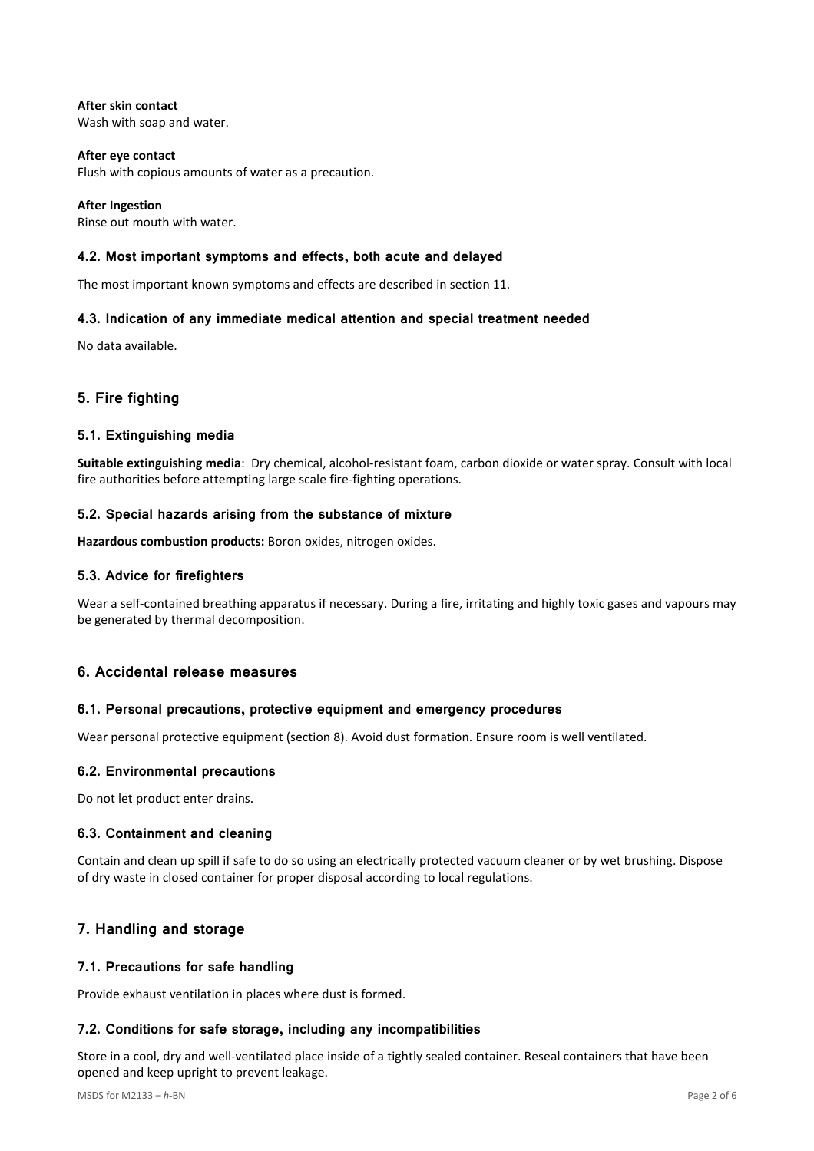**After skin contact**  Wash with soap and water.

**After eye contact**  Flush with copious amounts of water as a precaution.

**After Ingestion**  Rinse out mouth with water.

# **4.2. Most important symptoms and effects, both acute and delayed**

The most important known symptoms and effects are described in section 11.

### **4.3. Indication of any immediate medical attention and special treatment needed**

No data available.

# **5. Fire fighting**

### **5.1. Extinguishing media**

**Suitable extinguishing media**: Dry chemical, alcohol-resistant foam, carbon dioxide or water spray. Consult with local fire authorities before attempting large scale fire-fighting operations.

### **5.2. Special hazards arising from the substance of mixture**

**Hazardous combustion products:** Boron oxides, nitrogen oxides.

### **5.3. Advice for firefighters**

Wear a self-contained breathing apparatus if necessary. During a fire, irritating and highly toxic gases and vapours may be generated by thermal decomposition.

# **6. Accidental release measures**

### **6.1. Personal precautions, protective equipment and emergency procedures**

Wear personal protective equipment (section 8). Avoid dust formation. Ensure room is well ventilated.

### **6.2. Environmental precautions**

Do not let product enter drains.

### **6.3. Containment and cleaning**

Contain and clean up spill if safe to do so using an electrically protected vacuum cleaner or by wet brushing. Dispose of dry waste in closed container for proper disposal according to local regulations.

# **7. Handling and storage**

### **7.1. Precautions for safe handling**

Provide exhaust ventilation in places where dust is formed.

### **7.2. Conditions for safe storage, including any incompatibilities**

Store in a cool, dry and well-ventilated place inside of a tightly sealed container. Reseal containers that have been opened and keep upright to prevent leakage.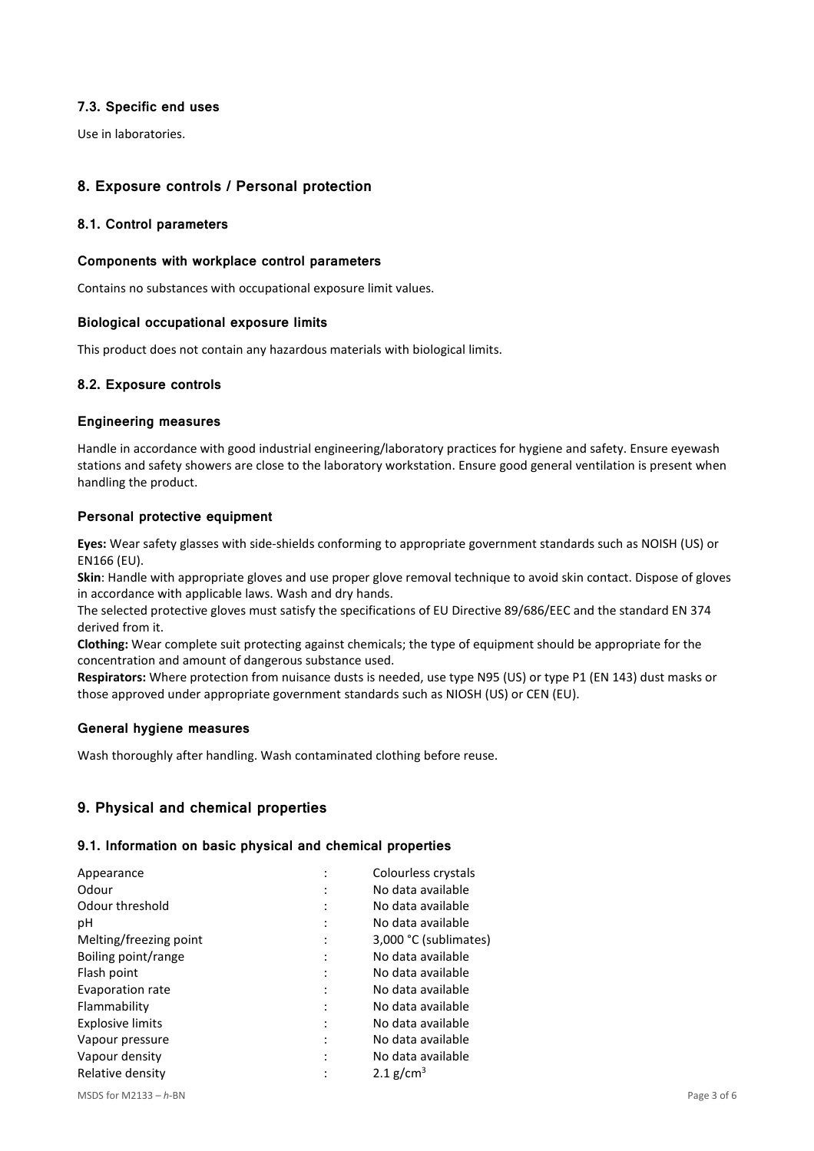### **7.3. Specific end uses**

Use in laboratories.

# **8. Exposure controls / Personal protection**

### **8.1. Control parameters**

### **Components with workplace control parameters**

Contains no substances with occupational exposure limit values.

### **Biological occupational exposure limits**

This product does not contain any hazardous materials with biological limits.

### **8.2. Exposure controls**

### **Engineering measures**

Handle in accordance with good industrial engineering/laboratory practices for hygiene and safety. Ensure eyewash stations and safety showers are close to the laboratory workstation. Ensure good general ventilation is present when handling the product.

### **Personal protective equipment**

**Eyes:** Wear safety glasses with side-shields conforming to appropriate government standards such as NOISH (US) or EN166 (EU).

**Skin**: Handle with appropriate gloves and use proper glove removal technique to avoid skin contact. Dispose of gloves in accordance with applicable laws. Wash and dry hands.

The selected protective gloves must satisfy the specifications of EU Directive 89/686/EEC and the standard EN 374 derived from it.

**Clothing:** Wear complete suit protecting against chemicals; the type of equipment should be appropriate for the concentration and amount of dangerous substance used.

**Respirators:** Where protection from nuisance dusts is needed, use type N95 (US) or type P1 (EN 143) dust masks or those approved under appropriate government standards such as NIOSH (US) or CEN (EU).

### **General hygiene measures**

Wash thoroughly after handling. Wash contaminated clothing before reuse.

# **9. Physical and chemical properties**

### **9.1. Information on basic physical and chemical properties**

| Appearance              |                | Colourless crystals   |
|-------------------------|----------------|-----------------------|
| Odour                   |                | No data available     |
| Odour threshold         |                | No data available     |
| рH                      | $\ddot{\cdot}$ | No data available     |
| Melting/freezing point  | :              | 3,000 °C (sublimates) |
| Boiling point/range     | $\ddot{\cdot}$ | No data available     |
| Flash point             | $\cdot$        | No data available     |
| Evaporation rate        | $\ddot{\cdot}$ | No data available     |
| Flammability            |                | No data available     |
| <b>Explosive limits</b> | $\ddot{\cdot}$ | No data available     |
| Vapour pressure         | $\ddot{\cdot}$ | No data available     |
| Vapour density          |                | No data available     |
| Relative density        |                | 2.1 g/cm <sup>3</sup> |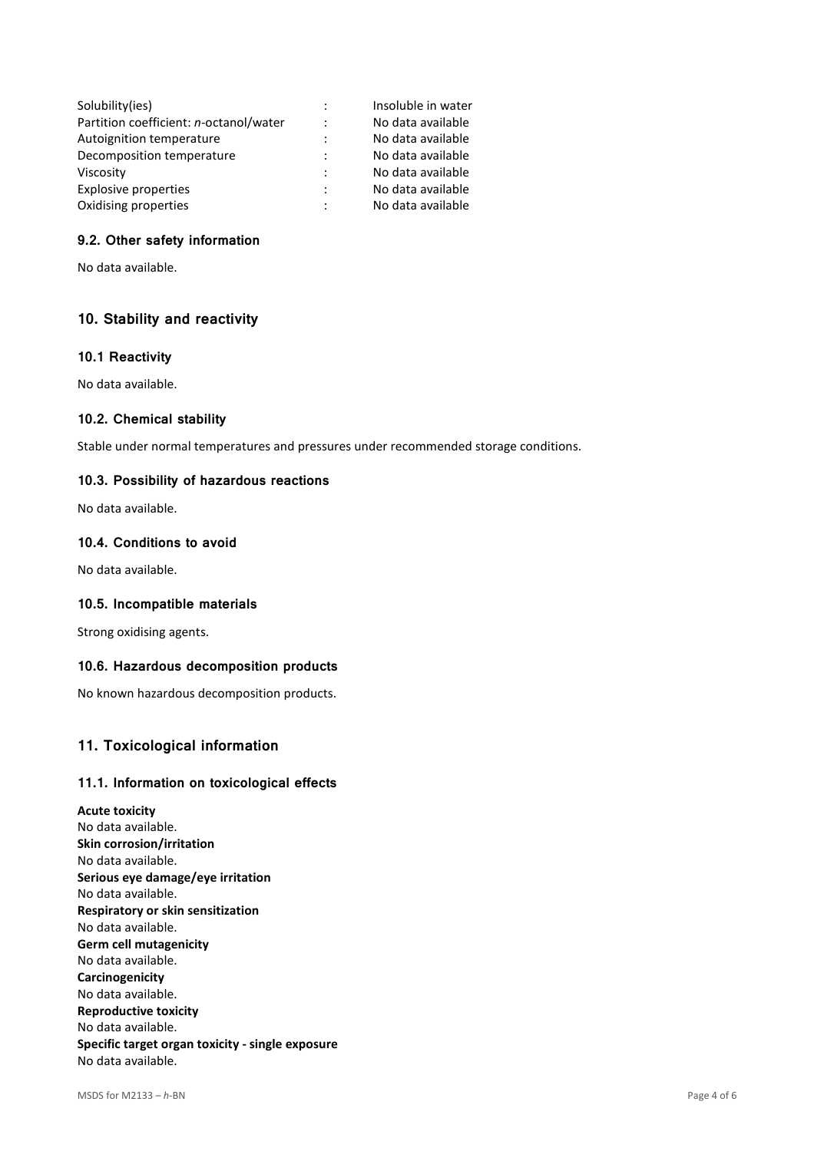| Solubility(ies)                        |                      | Insoluble in water |
|----------------------------------------|----------------------|--------------------|
| Partition coefficient: n-octanol/water | $\ddot{\phantom{a}}$ | No data available  |
| Autoignition temperature               | $\ddot{\phantom{a}}$ | No data available  |
| Decomposition temperature              | $\ddot{\phantom{a}}$ | No data available  |
| Viscosity                              | $\ddot{\phantom{a}}$ | No data available  |
| Explosive properties                   | $\ddot{\phantom{a}}$ | No data available  |
| Oxidising properties                   | $\ddot{\phantom{a}}$ | No data available  |

# **9.2. Other safety information**

No data available.

### **10. Stability and reactivity**

#### **10.1 Reactivity**

No data available.

#### **10.2. Chemical stability**

Stable under normal temperatures and pressures under recommended storage conditions.

#### **10.3. Possibility of hazardous reactions**

No data available.

### **10.4. Conditions to avoid**

No data available.

#### **10.5. Incompatible materials**

Strong oxidising agents.

### **10.6. Hazardous decomposition products**

No known hazardous decomposition products.

# **11. Toxicological information**

#### **11.1. Information on toxicological effects**

**Acute toxicity**  No data available. **Skin corrosion/irritation**  No data available. **Serious eye damage/eye irritation**  No data available. **Respiratory or skin sensitization**  No data available. **Germ cell mutagenicity**  No data available. **Carcinogenicity**  No data available. **Reproductive toxicity**  No data available. **Specific target organ toxicity - single exposure**  No data available.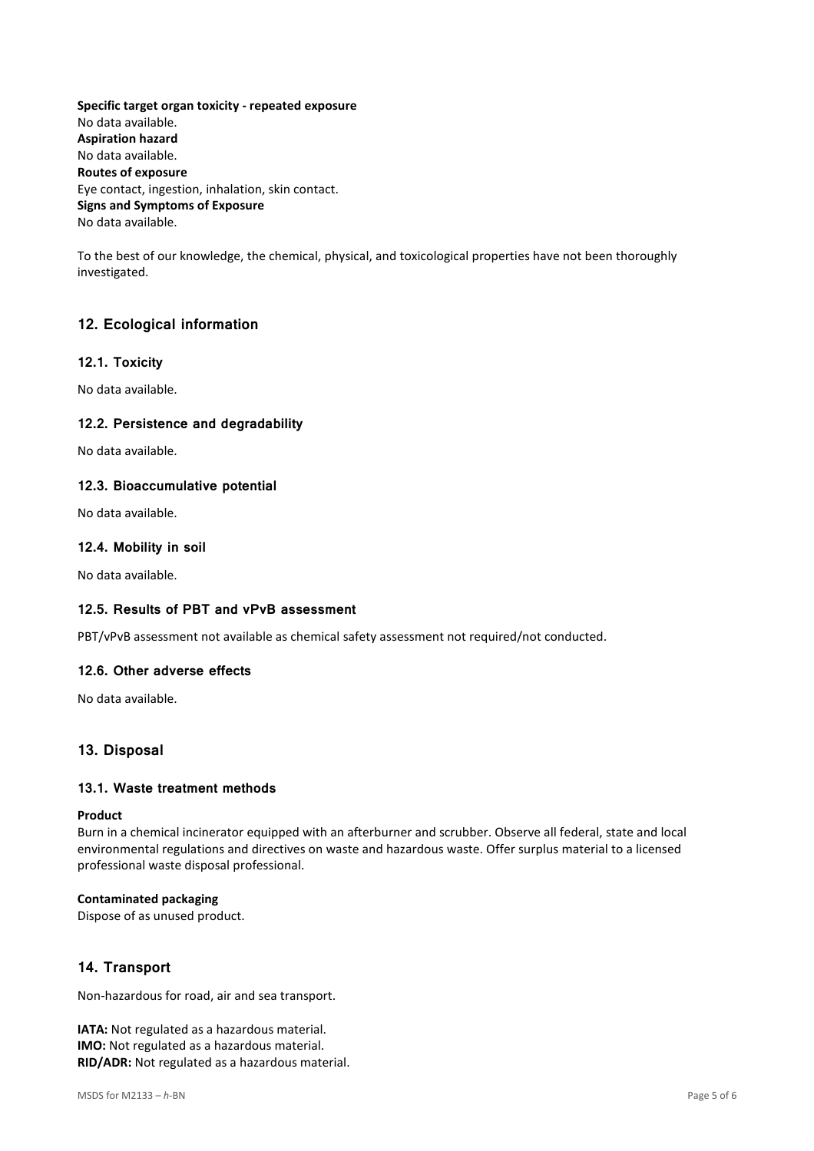**Specific target organ toxicity - repeated exposure**  No data available. **Aspiration hazard**  No data available. **Routes of exposure**  Eye contact, ingestion, inhalation, skin contact. **Signs and Symptoms of Exposure**  No data available.

To the best of our knowledge, the chemical, physical, and toxicological properties have not been thoroughly investigated.

# **12. Ecological information**

### **12.1. Toxicity**

No data available.

### **12.2. Persistence and degradability**

No data available.

### **12.3. Bioaccumulative potential**

No data available.

### **12.4. Mobility in soil**

No data available.

### **12.5. Results of PBT and vPvB assessment**

PBT/vPvB assessment not available as chemical safety assessment not required/not conducted.

#### **12.6. Other adverse effects**

No data available.

### **13. Disposal**

### **13.1. Waste treatment methods**

#### **Product**

Burn in a chemical incinerator equipped with an afterburner and scrubber. Observe all federal, state and local environmental regulations and directives on waste and hazardous waste. Offer surplus material to a licensed professional waste disposal professional.

#### **Contaminated packaging**

Dispose of as unused product.

# **14. Transport**

Non-hazardous for road, air and sea transport.

**IATA:** Not regulated as a hazardous material. **IMO:** Not regulated as a hazardous material. **RID/ADR:** Not regulated as a hazardous material.